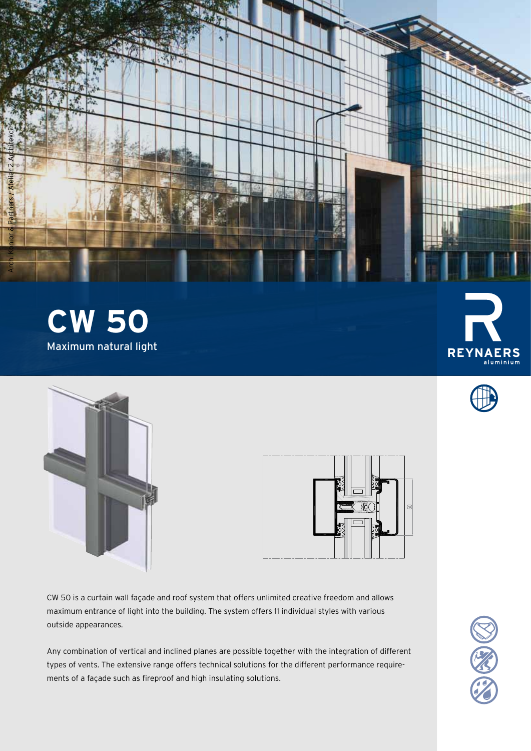





|  |   | òü. | 50 |
|--|---|-----|----|
|  | R |     |    |

CW 50 is a curtain wall façade and roof system that offers unlimited creative freedom and allows maximum entrance of light into the building. The system offers 11 individual styles with various outside appearances.

Any combination of vertical and inclined planes are possible together with the integration of different types of vents. The extensive range offers technical solutions for the different performance requirements of a façade such as fireproof and high insulating solutions.





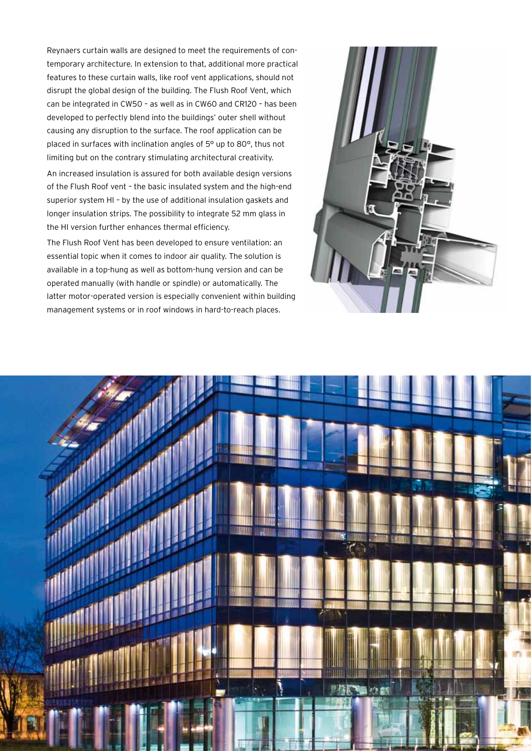Reynaers curtain walls are designed to meet the requirements of contemporary architecture. In extension to that, additional more practical features to these curtain walls, like roof vent applications, should not disrupt the global design of the building. The Flush Roof Vent, which can be integrated in CW50 – as well as in CW60 and CR120 – has been developed to perfectly blend into the buildings' outer shell without causing any disruption to the surface. The roof application can be placed in surfaces with inclination angles of 5° up to 80°, thus not limiting but on the contrary stimulating architectural creativity.

An increased insulation is assured for both available design versions of the Flush Roof vent – the basic insulated system and the high-end superior system HI – by the use of additional insulation gaskets and longer insulation strips. The possibility to integrate 52 mm glass in the HI version further enhances thermal efficiency.

The Flush Roof Vent has been developed to ensure ventilation: an essential topic when it comes to indoor air quality. The solution is available in a top-hung as well as bottom-hung version and can be operated manually (with handle or spindle) or automatically. The latter motor-operated version is especially convenient within building management systems or in roof windows in hard-to-reach places.



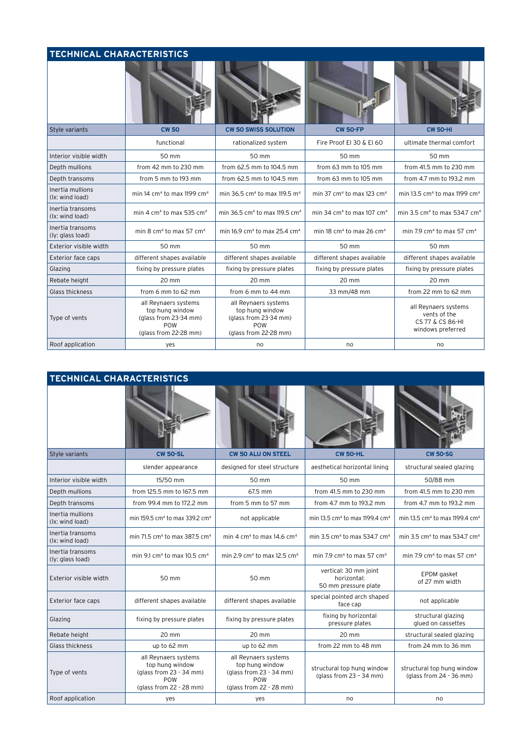## **Technical characteristics**

| Style variants                       | <b>CW 50</b>                                                                                     | <b>CW 50 SWISS SOLUTION</b>                                                                      | <b>CW 50-FP</b>                                   | <b>CW 50-HI</b>                                                               |  |
|--------------------------------------|--------------------------------------------------------------------------------------------------|--------------------------------------------------------------------------------------------------|---------------------------------------------------|-------------------------------------------------------------------------------|--|
|                                      | functional                                                                                       | rationalized system                                                                              | Fire Proof El 30 & El 60                          | ultimate thermal comfort                                                      |  |
| Interior visible width               | 50 mm                                                                                            | 50 mm                                                                                            | 50 mm                                             | 50 mm                                                                         |  |
| Depth mullions                       | from 42 mm to 230 mm                                                                             | from 62.5 mm to 104.5 mm                                                                         | from 63 mm to 105 mm                              | from 41.5 mm to 230 mm                                                        |  |
| Depth transoms                       | from 5 mm to 193 mm                                                                              | from 62.5 mm to 104.5 mm                                                                         | from 63 mm to 105 mm                              | from 4.7 mm to 193.2 mm                                                       |  |
| Inertia mullions<br>(lx: wind load)  | min 14 cm <sup>4</sup> to max 1199 cm <sup>4</sup>                                               | min 36.5 cm <sup>4</sup> to max 119.5 m <sup>4</sup>                                             | min 37 cm <sup>4</sup> to max 123 cm <sup>4</sup> | min 13.5 cm <sup>4</sup> to max 1199 cm <sup>4</sup>                          |  |
| Inertia transoms<br>(Ix: wind load)  | min 4 cm <sup>4</sup> to max 535 cm <sup>4</sup>                                                 | min 36.5 cm <sup>4</sup> to max 119.5 cm <sup>4</sup>                                            | min 34 cm <sup>4</sup> to max 107 cm <sup>4</sup> | min 3.5 cm <sup>4</sup> to max 534.7 cm <sup>4</sup>                          |  |
| Inertia transoms<br>(ly: glass load) | min 8 $cm4$ to max 57 $cm4$                                                                      | min 16.9 cm <sup>4</sup> to max 25.4 cm <sup>4</sup>                                             | min 18 cm <sup>4</sup> to max 26 cm <sup>4</sup>  | min 7.9 cm <sup>4</sup> to max 57 cm <sup>4</sup>                             |  |
| Exterior visible width               | 50 mm                                                                                            | 50 mm                                                                                            | 50 mm                                             | 50 mm                                                                         |  |
| Exterior face caps                   | different shapes available                                                                       | different shapes available                                                                       | different shapes available                        | different shapes available                                                    |  |
| Glazing                              | fixing by pressure plates                                                                        | fixing by pressure plates                                                                        | fixing by pressure plates                         | fixing by pressure plates                                                     |  |
| Rebate height                        | 20 mm                                                                                            | 20 mm                                                                                            | 20 mm                                             | 20 mm                                                                         |  |
| Glass thickness                      | from 6 mm to 62 mm                                                                               | from 6 mm to 44 mm                                                                               | 33 mm/48 mm                                       | from 22 mm to 62 mm                                                           |  |
| Type of vents                        | all Reynaers systems<br>top hung window<br>(glass from 23-34 mm)<br>POW<br>(glass from 22-28 mm) | all Reynaers systems<br>top hung window<br>(glass from 23-34 mm)<br>POW<br>(glass from 22-28 mm) |                                                   | all Reynaers systems<br>vents of the<br>CS 77 & CS 86-HI<br>windows preferred |  |
| Roof application                     | yes                                                                                              | no                                                                                               | no                                                | no                                                                            |  |

| <b>TECHNICAL CHARACTERISTICS</b>     |                                                                                                                                                                                                                     |                                                     |                                                              |                                                        |  |
|--------------------------------------|---------------------------------------------------------------------------------------------------------------------------------------------------------------------------------------------------------------------|-----------------------------------------------------|--------------------------------------------------------------|--------------------------------------------------------|--|
|                                      |                                                                                                                                                                                                                     |                                                     |                                                              |                                                        |  |
| Style variants                       | <b>CW 50-SL</b>                                                                                                                                                                                                     | <b>CW 50 ALU ON STEEL</b>                           | <b>CW 50-HL</b>                                              | <b>CW 50-SG</b>                                        |  |
|                                      | slender appearance                                                                                                                                                                                                  | designed for steel structure                        | aesthetical horizontal lining                                | structural sealed glazing                              |  |
| Interior visible width               | 15/50 mm                                                                                                                                                                                                            | 50 mm                                               | 50 mm                                                        | 50/88 mm                                               |  |
| Depth mullions                       | from 125.5 mm to 167.5 mm                                                                                                                                                                                           | 67.5 mm                                             | from 41.5 mm to 230 mm                                       | from 41.5 mm to 230 mm                                 |  |
| Depth transoms                       | from 99.4 mm to 172.2 mm                                                                                                                                                                                            | from 5 mm to 57 mm                                  | from 4.7 mm to 193.2 mm                                      | from 4.7 mm to 193.2 mm                                |  |
| Inertia mullions<br>(lx: wind load)  | min 159.5 cm <sup>4</sup> to max 339.2 cm <sup>4</sup>                                                                                                                                                              | not applicable                                      | min 13.5 cm <sup>4</sup> to max 1199.4 cm <sup>4</sup>       | min 13.5 cm <sup>4</sup> to max 1199.4 cm <sup>4</sup> |  |
| Inertia transoms<br>(Ix: wind load)  | min 71.5 cm <sup>4</sup> to max 387.5 cm <sup>4</sup>                                                                                                                                                               | min 4 cm <sup>4</sup> to max 14.6 cm <sup>4</sup>   | min 3.5 cm <sup>4</sup> to max 534.7 cm <sup>4</sup>         | min 3.5 $cm4$ to max 534.7 $cm4$                       |  |
| Inertia transoms<br>(ly: glass load) | min 9.1 cm <sup>4</sup> to max 10.5 cm <sup>4</sup>                                                                                                                                                                 | min 2.9 cm <sup>4</sup> to max 12.5 cm <sup>4</sup> | min 7.9 $cm4$ to max 57 $cm4$                                | min 7.9 $cm4$ to max 57 $cm4$                          |  |
| Exterior visible width               | 50 mm                                                                                                                                                                                                               | 50 mm                                               | vertical: 30 mm joint<br>horizontal:<br>50 mm pressure plate | EPDM gasket<br>of 27 mm width                          |  |
| <b>Exterior face caps</b>            | different shapes available                                                                                                                                                                                          | different shapes available                          | special pointed arch shaped<br>face cap                      | not applicable                                         |  |
| Glazing                              | fixing by pressure plates                                                                                                                                                                                           | fixing by pressure plates                           | fixing by horizontal<br>pressure plates                      | structural glazing<br>glued on cassettes               |  |
| Rebate height                        | 20 mm                                                                                                                                                                                                               | 20 mm                                               | 20 mm                                                        | structural sealed glazing                              |  |
| Glass thickness                      | up to 62 mm                                                                                                                                                                                                         | up to 62 mm                                         | from 22 mm to 48 mm                                          | from 24 mm to 36 mm                                    |  |
| Type of vents                        | all Reynaers systems<br>all Reynaers systems<br>top hung window<br>top hung window<br>(glass from 23 - 34 mm)<br>(glass from 23 - 34 mm)<br>POW<br><b>POW</b><br>(glass from 22 - 28 mm)<br>(glass from 22 - 28 mm) |                                                     | structural top hung window<br>(glass from $23 - 34$ mm)      | structural top hung window<br>(glass from 24 - 36 mm)  |  |
| Roof application                     | yes                                                                                                                                                                                                                 | yes                                                 | no                                                           | no                                                     |  |